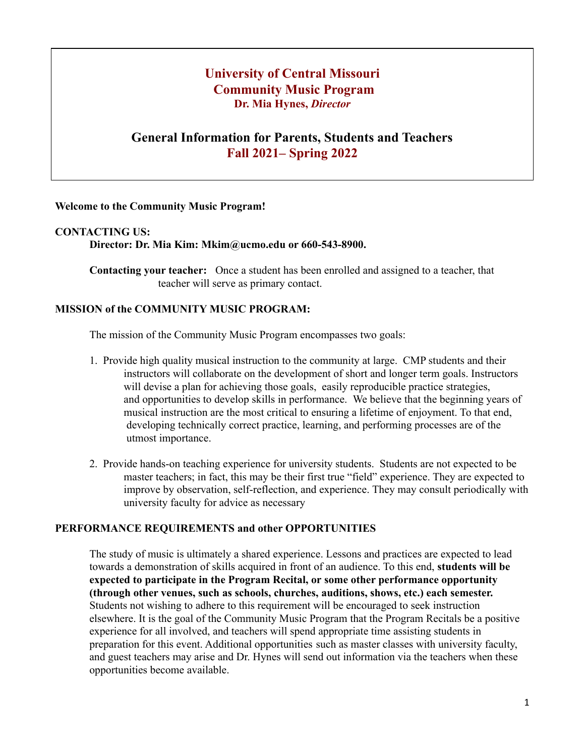# **University of Central Missouri Community Music Program Dr. Mia Hynes,** *Director*

## **General Information for Parents, Students and Teachers Fall 2021– Spring 2022**

#### **Welcome to the Community Music Program!**

#### **CONTACTING US:**

**Director: Dr. Mia Kim: Mkim@ucmo.edu or 660-543-8900.**

**Contacting your teacher:** Once a student has been enrolled and assigned to a teacher, that teacher will serve as primary contact.

#### **MISSION of the COMMUNITY MUSIC PROGRAM:**

The mission of the Community Music Program encompasses two goals:

- 1. Provide high quality musical instruction to the community at large. CMP students and their instructors will collaborate on the development of short and longer term goals. Instructors will devise a plan for achieving those goals, easily reproducible practice strategies, and opportunities to develop skills in performance. We believe that the beginning years of musical instruction are the most critical to ensuring a lifetime of enjoyment. To that end, developing technically correct practice, learning, and performing processes are of the utmost importance.
- 2. Provide hands-on teaching experience for university students. Students are not expected to be master teachers; in fact, this may be their first true "field" experience. They are expected to improve by observation, self-reflection, and experience. They may consult periodically with university faculty for advice as necessary

#### **PERFORMANCE REQUIREMENTS and other OPPORTUNITIES**

The study of music is ultimately a shared experience. Lessons and practices are expected to lead towards a demonstration of skills acquired in front of an audience. To this end, **students will be expected to participate in the Program Recital, or some other performance opportunity (through other venues, such as schools, churches, auditions, shows, etc.) each semester.** Students not wishing to adhere to this requirement will be encouraged to seek instruction elsewhere. It is the goal of the Community Music Program that the Program Recitals be a positive experience for all involved, and teachers will spend appropriate time assisting students in preparation for this event. Additional opportunities such as master classes with university faculty, and guest teachers may arise and Dr. Hynes will send out information via the teachers when these opportunities become available.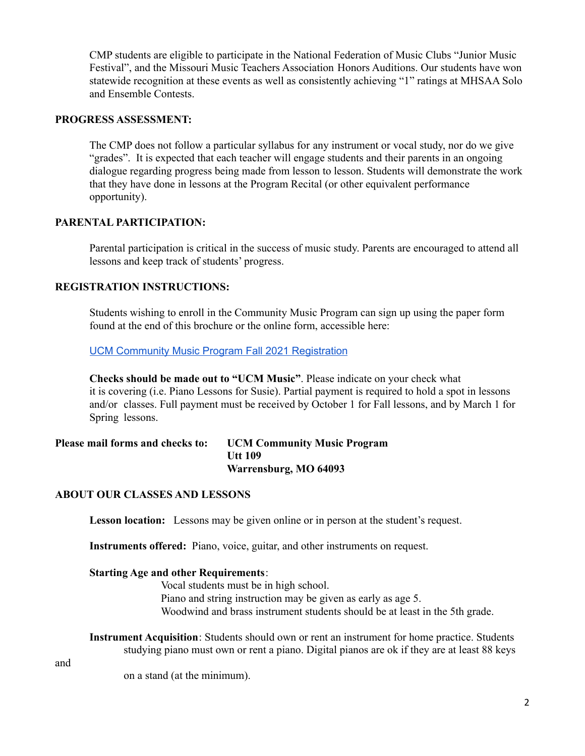CMP students are eligible to participate in the National Federation of Music Clubs "Junior Music Festival", and the Missouri Music Teachers Association Honors Auditions. Our students have won statewide recognition at these events as well as consistently achieving "1" ratings at MHSAA Solo and Ensemble Contests.

#### **PROGRESS ASSESSMENT:**

The CMP does not follow a particular syllabus for any instrument or vocal study, nor do we give "grades". It is expected that each teacher will engage students and their parents in an ongoing dialogue regarding progress being made from lesson to lesson. Students will demonstrate the work that they have done in lessons at the Program Recital (or other equivalent performance opportunity).

## **PARENTAL PARTICIPATION:**

Parental participation is critical in the success of music study. Parents are encouraged to attend all lessons and keep track of students' progress.

#### **REGISTRATION INSTRUCTIONS:**

Students wishing to enroll in the Community Music Program can sign up using the paper form found at the end of this brochure or the online form, accessible here:

**UCM Community Music Program Fall 2021 [Registration](https://docs.google.com/forms/d/e/1FAIpQLSdnJnEl5xNuM9ygrsahFTCZWXBVYwcRKlg9AxeDHR8zzBxfaw/viewform?usp=sf_link)** 

**Checks should be made out to "UCM Music"**. Please indicate on your check what it is covering (i.e. Piano Lessons for Susie). Partial payment is required to hold a spot in lessons and/or classes. Full payment must be received by October 1 for Fall lessons, and by March 1 for Spring lessons.

#### **Please mail forms and checks to: UCM Community Music Program Utt 109 Warrensburg, MO 64093**

## **ABOUT OUR CLASSES AND LESSONS**

**Lesson location:** Lessons may be given online or in person at the student's request.

**Instruments offered:** Piano, voice, guitar, and other instruments on request.

#### **Starting Age and other Requirements**:

Vocal students must be in high school. Piano and string instruction may be given as early as age 5. Woodwind and brass instrument students should be at least in the 5th grade.

**Instrument Acquisition**: Students should own or rent an instrument for home practice. Students studying piano must own or rent a piano. Digital pianos are ok if they are at least 88 keys

and

on a stand (at the minimum).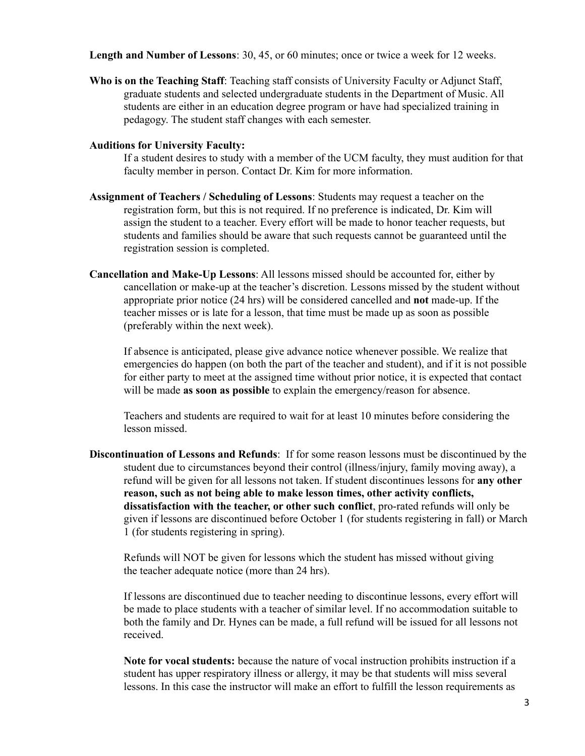**Length and Number of Lessons**: 30, 45, or 60 minutes; once or twice a week for 12 weeks.

**Who is on the Teaching Staff**: Teaching staff consists of University Faculty or Adjunct Staff, graduate students and selected undergraduate students in the Department of Music. All students are either in an education degree program or have had specialized training in pedagogy. The student staff changes with each semester.

#### **Auditions for University Faculty:**

If a student desires to study with a member of the UCM faculty, they must audition for that faculty member in person. Contact Dr. Kim for more information.

- **Assignment of Teachers / Scheduling of Lessons**: Students may request a teacher on the registration form, but this is not required. If no preference is indicated, Dr. Kim will assign the student to a teacher. Every effort will be made to honor teacher requests, but students and families should be aware that such requests cannot be guaranteed until the registration session is completed.
- **Cancellation and Make-Up Lessons**: All lessons missed should be accounted for, either by cancellation or make-up at the teacher's discretion. Lessons missed by the student without appropriate prior notice (24 hrs) will be considered cancelled and **not** made-up. If the teacher misses or is late for a lesson, that time must be made up as soon as possible (preferably within the next week).

If absence is anticipated, please give advance notice whenever possible. We realize that emergencies do happen (on both the part of the teacher and student), and if it is not possible for either party to meet at the assigned time without prior notice, it is expected that contact will be made **as soon as possible** to explain the emergency/reason for absence.

Teachers and students are required to wait for at least 10 minutes before considering the lesson missed.

**Discontinuation of Lessons and Refunds**: If for some reason lessons must be discontinued by the student due to circumstances beyond their control (illness/injury, family moving away), a refund will be given for all lessons not taken. If student discontinues lessons for **any other reason, such as not being able to make lesson times, other activity conflicts, dissatisfaction with the teacher, or other such conflict**, pro-rated refunds will only be given if lessons are discontinued before October 1 (for students registering in fall) or March 1 (for students registering in spring).

Refunds will NOT be given for lessons which the student has missed without giving the teacher adequate notice (more than 24 hrs).

If lessons are discontinued due to teacher needing to discontinue lessons, every effort will be made to place students with a teacher of similar level. If no accommodation suitable to both the family and Dr. Hynes can be made, a full refund will be issued for all lessons not received.

**Note for vocal students:** because the nature of vocal instruction prohibits instruction if a student has upper respiratory illness or allergy, it may be that students will miss several lessons. In this case the instructor will make an effort to fulfill the lesson requirements as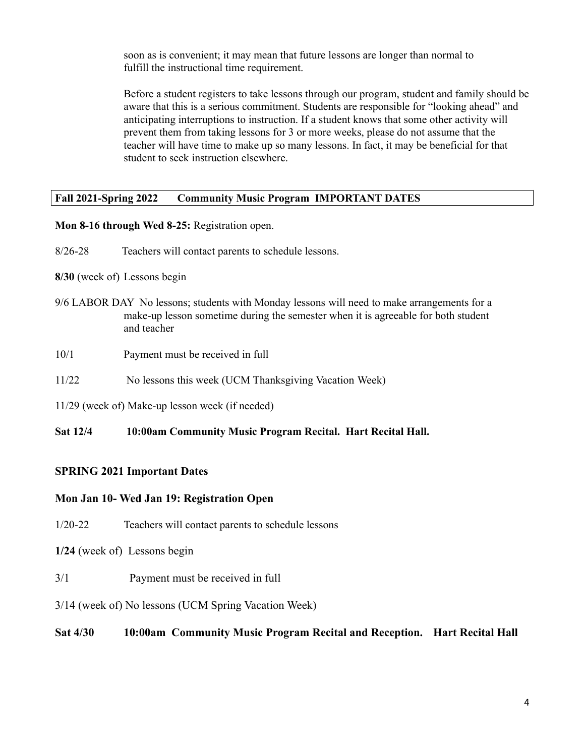soon as is convenient; it may mean that future lessons are longer than normal to fulfill the instructional time requirement.

Before a student registers to take lessons through our program, student and family should be aware that this is a serious commitment. Students are responsible for "looking ahead" and anticipating interruptions to instruction. If a student knows that some other activity will prevent them from taking lessons for 3 or more weeks, please do not assume that the teacher will have time to make up so many lessons. In fact, it may be beneficial for that student to seek instruction elsewhere.

## **Fall 2021-Spring 2022 Community Music Program IMPORTANT DATES**

## **Mon 8-16 through Wed 8-25:** Registration open.

8/26-28 Teachers will contact parents to schedule lessons.

## **8/30** (week of) Lessons begin

- 9/6 LABOR DAY No lessons; students with Monday lessons will need to make arrangements for a make-up lesson sometime during the semester when it is agreeable for both student and teacher
- 10/1 Payment must be received in full
- 11/22 No lessons this week (UCM Thanksgiving Vacation Week)
- 11/29 (week of) Make-up lesson week (if needed)

## **Sat 12/4 10:00am Community Music Program Recital. Hart Recital Hall.**

## **SPRING 2021 Important Dates**

## **Mon Jan 10- Wed Jan 19: Registration Open**

- 1/20-22 Teachers will contact parents to schedule lessons
- **1/24** (week of) Lessons begin
- 3/1 Payment must be received in full
- 3/14 (week of) No lessons (UCM Spring Vacation Week)

## **Sat 4/30 10:00am Community Music Program Recital and Reception. Hart Recital Hall**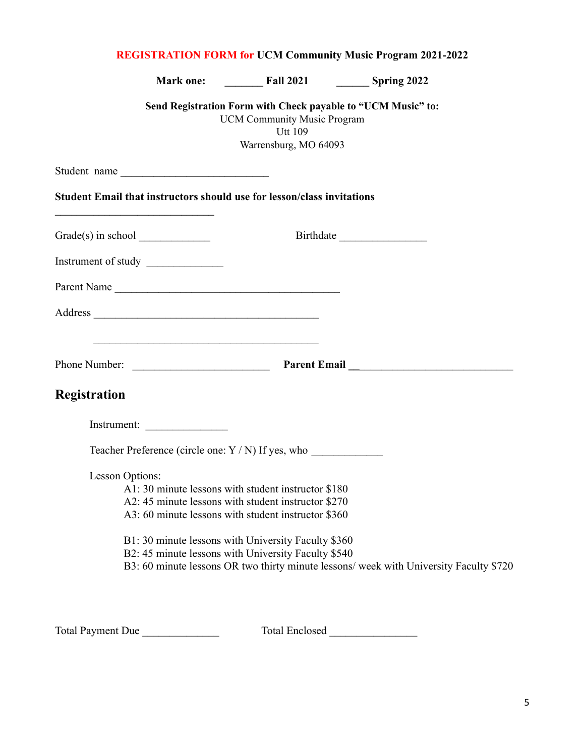| <b>REGISTRATION FORM for UCM Community Music Program 2021-2022</b> |                                                                                                                                                                                                                                                                                                    |                                                                                                                                               |                                                                                        |
|--------------------------------------------------------------------|----------------------------------------------------------------------------------------------------------------------------------------------------------------------------------------------------------------------------------------------------------------------------------------------------|-----------------------------------------------------------------------------------------------------------------------------------------------|----------------------------------------------------------------------------------------|
|                                                                    |                                                                                                                                                                                                                                                                                                    |                                                                                                                                               |                                                                                        |
|                                                                    |                                                                                                                                                                                                                                                                                                    | Send Registration Form with Check payable to "UCM Music" to:<br><b>UCM Community Music Program</b><br><b>Utt 109</b><br>Warrensburg, MO 64093 |                                                                                        |
|                                                                    | Student name                                                                                                                                                                                                                                                                                       |                                                                                                                                               |                                                                                        |
|                                                                    | <b>Student Email that instructors should use for lesson/class invitations</b>                                                                                                                                                                                                                      |                                                                                                                                               |                                                                                        |
|                                                                    | $Grade(s)$ in school $\_\_$                                                                                                                                                                                                                                                                        |                                                                                                                                               |                                                                                        |
|                                                                    | Instrument of study                                                                                                                                                                                                                                                                                |                                                                                                                                               |                                                                                        |
|                                                                    | Parent Name                                                                                                                                                                                                                                                                                        |                                                                                                                                               |                                                                                        |
|                                                                    |                                                                                                                                                                                                                                                                                                    |                                                                                                                                               |                                                                                        |
|                                                                    |                                                                                                                                                                                                                                                                                                    |                                                                                                                                               |                                                                                        |
| Registration                                                       |                                                                                                                                                                                                                                                                                                    |                                                                                                                                               |                                                                                        |
|                                                                    | Instrument:                                                                                                                                                                                                                                                                                        |                                                                                                                                               |                                                                                        |
|                                                                    | Teacher Preference (circle one: Y / N) If yes, who                                                                                                                                                                                                                                                 |                                                                                                                                               |                                                                                        |
|                                                                    | Lesson Options:<br>A1: 30 minute lessons with student instructor \$180<br>A2: 45 minute lessons with student instructor \$270<br>A3: 60 minute lessons with student instructor \$360<br>B1: 30 minute lessons with University Faculty \$360<br>B2: 45 minute lessons with University Faculty \$540 |                                                                                                                                               | B3: 60 minute lessons OR two thirty minute lessons/ week with University Faculty \$720 |

Total Payment Due \_\_\_\_\_\_\_\_\_\_\_\_\_\_ Total Enclosed \_\_\_\_\_\_\_\_\_\_\_\_\_\_\_\_